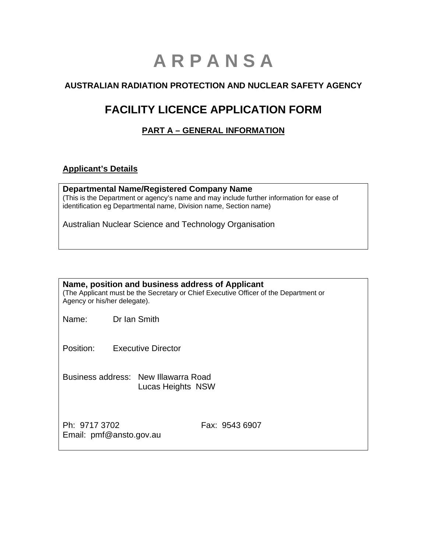# **A R P A N S A**

# **AUSTRALIAN RADIATION PROTECTION AND NUCLEAR SAFETY AGENCY**

# **FACILITY LICENCE APPLICATION FORM**

# **PART A – GENERAL INFORMATION**

#### **Applicant's Details**

**Departmental Name/Registered Company Name**  (This is the Department or agency's name and may include further information for ease of identification eg Departmental name, Division name, Section name)

Australian Nuclear Science and Technology Organisation

| Name, position and business address of Applicant<br>(The Applicant must be the Secretary or Chief Executive Officer of the Department or<br>Agency or his/her delegate). |                                                           |  |
|--------------------------------------------------------------------------------------------------------------------------------------------------------------------------|-----------------------------------------------------------|--|
| Name:                                                                                                                                                                    | Dr Ian Smith                                              |  |
| Position:                                                                                                                                                                | <b>Executive Director</b>                                 |  |
|                                                                                                                                                                          | Business address: New Illawarra Road<br>Lucas Heights NSW |  |
| Ph: 9717 3702                                                                                                                                                            | Fax: 9543 6907<br>Email: pmf@ansto.gov.au                 |  |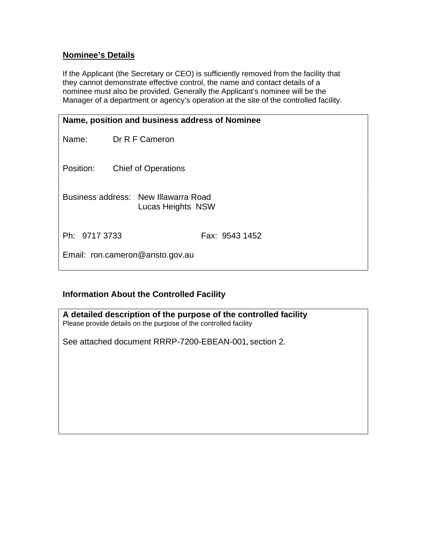## **Nominee's Details**

If the Applicant (the Secretary or CEO) is sufficiently removed from the facility that they cannot demonstrate effective control, the name and contact details of a nominee must also be provided. Generally the Applicant's nominee will be the Manager of a department or agency's operation at the site of the controlled facility.

| Name, position and business address of Nominee |                                                           |
|------------------------------------------------|-----------------------------------------------------------|
| Name: Dr R F Cameron                           |                                                           |
| Position:                                      | <b>Chief of Operations</b>                                |
|                                                | Business address: New Illawarra Road<br>Lucas Heights NSW |
| Ph: 9717 3733                                  | Fax: 9543 1452                                            |
|                                                | Email: ron.cameron@ansto.gov.au                           |

# **Information About the Controlled Facility**

| A detailed description of the purpose of the controlled facility<br>Please provide details on the purpose of the controlled facility |
|--------------------------------------------------------------------------------------------------------------------------------------|
| See attached document RRRP-7200-EBEAN-001, section 2.                                                                                |
|                                                                                                                                      |
|                                                                                                                                      |
|                                                                                                                                      |
|                                                                                                                                      |
|                                                                                                                                      |
|                                                                                                                                      |
|                                                                                                                                      |
|                                                                                                                                      |